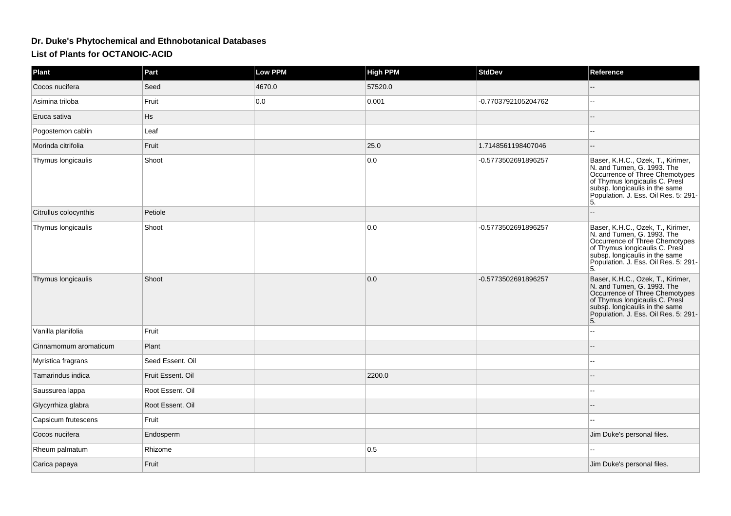## **Dr. Duke's Phytochemical and Ethnobotanical DatabasesList of Plants for OCTANOIC-ACID**

| Plant                 | Part              | <b>Low PPM</b> | <b>High PPM</b> | <b>StdDev</b>       | Reference                                                                                                                                                                                                           |
|-----------------------|-------------------|----------------|-----------------|---------------------|---------------------------------------------------------------------------------------------------------------------------------------------------------------------------------------------------------------------|
| Cocos nucifera        | Seed              | 4670.0         | 57520.0         |                     |                                                                                                                                                                                                                     |
| Asimina triloba       | Fruit             | 0.0            | 0.001           | -0.7703792105204762 |                                                                                                                                                                                                                     |
| Eruca sativa          | <b>Hs</b>         |                |                 |                     |                                                                                                                                                                                                                     |
| Pogostemon cablin     | Leaf              |                |                 |                     |                                                                                                                                                                                                                     |
| Morinda citrifolia    | Fruit             |                | 25.0            | 1.7148561198407046  |                                                                                                                                                                                                                     |
| Thymus longicaulis    | Shoot             |                | 0.0             | -0.5773502691896257 | Baser, K.H.C., Ozek, T., Kirimer,<br>N. and Tumen, G. 1993. The<br>Occurrence of Three Chemotypes<br>of Thymus longicaulis C. Presi<br>subsp. longicaulis in the same<br>Population. J. Ess. Oil Res. 5: 291-<br>5. |
| Citrullus colocynthis | Petiole           |                |                 |                     |                                                                                                                                                                                                                     |
| Thymus longicaulis    | Shoot             |                | 0.0             | -0.5773502691896257 | Baser, K.H.C., Ozek, T., Kirimer,<br>N. and Tumen, G. 1993. The<br>Occurrence of Three Chemotypes<br>of Thymus longicaulis C. Presi<br>subsp. longicaulis in the same<br>Population. J. Ess. Oil Res. 5: 291-<br>5. |
| Thymus longicaulis    | Shoot             |                | 0.0             | -0.5773502691896257 | Baser, K.H.C., Ozek, T., Kirimer, N. and Tumen, G. 1993. The<br>Occurrence of Three Chemotypes<br>of Thymus longicaulis C. Presi<br>subsp. longicaulis in the same<br>Population. J. Ess. Oil Res. 5: 291-<br>5.    |
| Vanilla planifolia    | Fruit             |                |                 |                     |                                                                                                                                                                                                                     |
| Cinnamomum aromaticum | Plant             |                |                 |                     |                                                                                                                                                                                                                     |
| Myristica fragrans    | Seed Essent. Oil  |                |                 |                     |                                                                                                                                                                                                                     |
| Tamarindus indica     | Fruit Essent. Oil |                | 2200.0          |                     |                                                                                                                                                                                                                     |
| Saussurea lappa       | Root Essent. Oil  |                |                 |                     |                                                                                                                                                                                                                     |
| Glycyrrhiza glabra    | Root Essent. Oil  |                |                 |                     |                                                                                                                                                                                                                     |
| Capsicum frutescens   | Fruit             |                |                 |                     |                                                                                                                                                                                                                     |
| Cocos nucifera        | Endosperm         |                |                 |                     | Jim Duke's personal files.                                                                                                                                                                                          |
| Rheum palmatum        | Rhizome           |                | 0.5             |                     |                                                                                                                                                                                                                     |
| Carica papaya         | Fruit             |                |                 |                     | Jim Duke's personal files.                                                                                                                                                                                          |